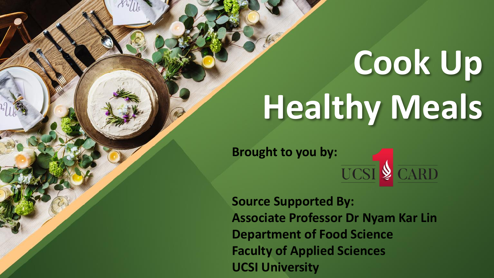**Brought to you by:**<br>UCSI  $\oint$  CARD

**Source Supported By: Associate Professor Dr Nyam Kar Lin Department of Food Science Faculty of Applied Sciences UCSI University**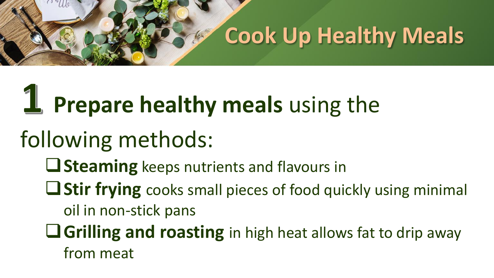#### 1 **Prepare healthy meals** using the

- following methods:
	- **Steaming** keeps nutrients and flavours in
	- **Stir frying** cooks small pieces of food quickly using minimal oil in non-stick pans
	- **Grilling and roasting** in high heat allows fat to drip away from meat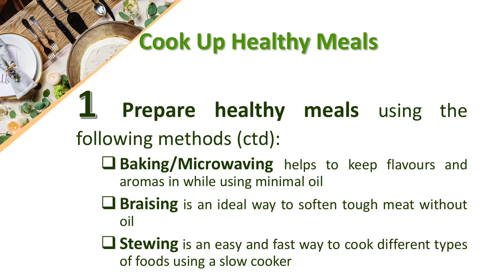#### **Prepare healthy meals** using the following methods (ctd): **Baking/Microwaving** helps to keep flavours and aromas in while using minimal oil **Braising** is an ideal way to soften tough meat without oil

**Stewing** is an easy and fast way to cook different types of foods using a slow cooker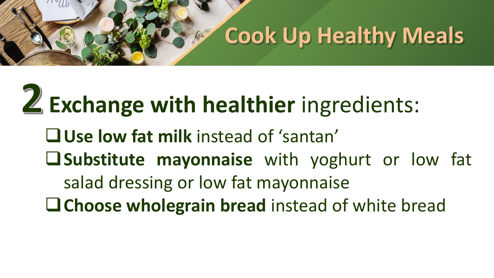# **Exchange with healthier** ingredients:

**Use low fat milk** instead of 'santan' **Substitute mayonnaise** with yoghurt or low fat salad dressing or low fat mayonnaise **Choose wholegrain bread** instead of white bread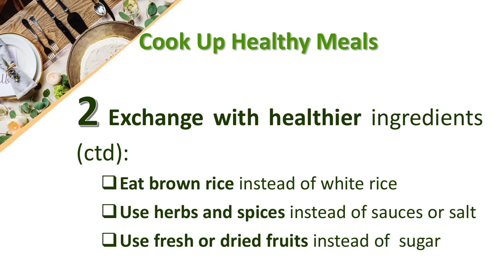# **Exchange with healthier** ingredients

- (ctd):
	- **Eat brown rice** instead of white rice
	- **Use herbs and spices** instead of sauces or salt
	- **Use fresh or dried fruits** instead of sugar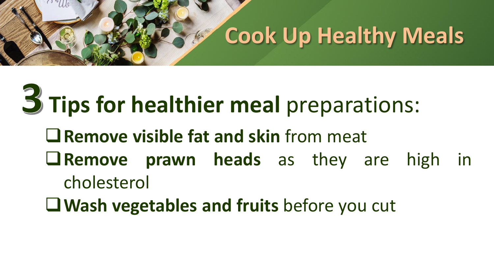### **Tips for healthier meal** preparations: **Remove visible fat and skin** from meat **Remove prawn heads** as they are high in cholesterol

**Wash vegetables and fruits** before you cut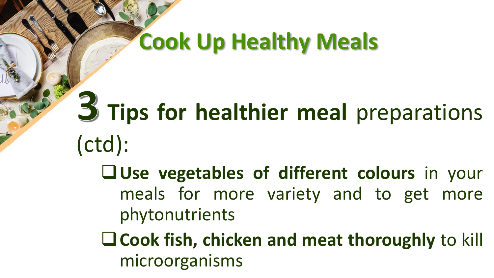## **Tips for healthier meal** preparations (ctd):

- **Lattilube vegetables** of different colours in your meals for more variety and to get more phytonutrients
- **Cook fish, chicken and meat thoroughly** to kill microorganisms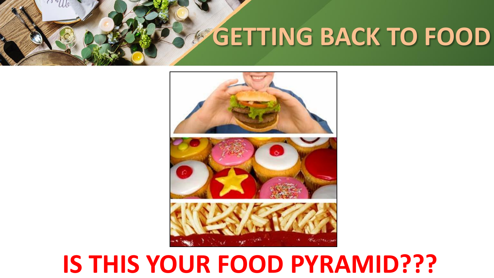### **GETTING BACK TO FOOD**



### **IS THIS YOUR FOOD PYRAMID???**